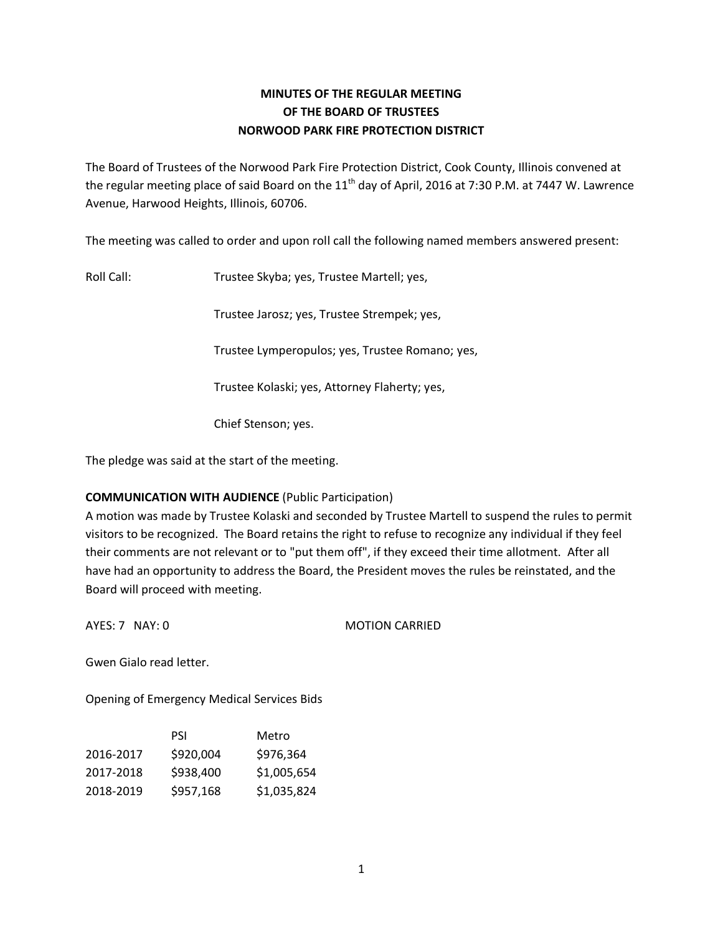# **MINUTES OF THE REGULAR MEETING OF THE BOARD OF TRUSTEES NORWOOD PARK FIRE PROTECTION DISTRICT**

The Board of Trustees of the Norwood Park Fire Protection District, Cook County, Illinois convened at the regular meeting place of said Board on the  $11<sup>th</sup>$  day of April, 2016 at 7:30 P.M. at 7447 W. Lawrence Avenue, Harwood Heights, Illinois, 60706.

The meeting was called to order and upon roll call the following named members answered present:

Roll Call: Trustee Skyba; yes, Trustee Martell; yes,

Trustee Jarosz; yes, Trustee Strempek; yes,

Trustee Lymperopulos; yes, Trustee Romano; yes,

Trustee Kolaski; yes, Attorney Flaherty; yes,

Chief Stenson; yes.

The pledge was said at the start of the meeting.

# **COMMUNICATION WITH AUDIENCE** (Public Participation)

A motion was made by Trustee Kolaski and seconded by Trustee Martell to suspend the rules to permit visitors to be recognized. The Board retains the right to refuse to recognize any individual if they feel their comments are not relevant or to "put them off", if they exceed their time allotment. After all have had an opportunity to address the Board, the President moves the rules be reinstated, and the Board will proceed with meeting.

AYES: 7 NAY: 0 MOTION CARRIED

Gwen Gialo read letter.

Opening of Emergency Medical Services Bids

|           | PSI       | Metro       |
|-----------|-----------|-------------|
| 2016-2017 | \$920,004 | \$976.364   |
| 2017-2018 | \$938,400 | \$1,005,654 |
| 2018-2019 | \$957.168 | \$1,035,824 |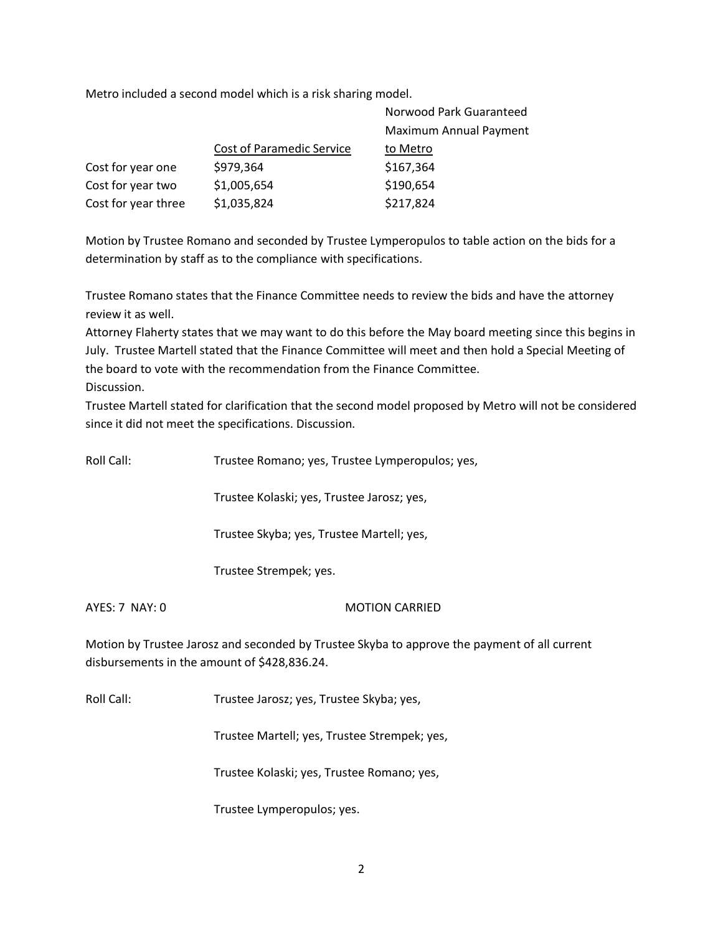Metro included a second model which is a risk sharing model.

|                     |                           | Norwood Park Guaranteed       |
|---------------------|---------------------------|-------------------------------|
|                     |                           | <b>Maximum Annual Payment</b> |
|                     | Cost of Paramedic Service | to Metro                      |
| Cost for year one   | \$979,364                 | \$167,364                     |
| Cost for year two   | \$1,005,654               | \$190,654                     |
| Cost for year three | \$1,035,824               | \$217,824                     |

Motion by Trustee Romano and seconded by Trustee Lymperopulos to table action on the bids for a determination by staff as to the compliance with specifications.

Trustee Romano states that the Finance Committee needs to review the bids and have the attorney review it as well.

Attorney Flaherty states that we may want to do this before the May board meeting since this begins in July. Trustee Martell stated that the Finance Committee will meet and then hold a Special Meeting of the board to vote with the recommendation from the Finance Committee. Discussion.

Trustee Martell stated for clarification that the second model proposed by Metro will not be considered since it did not meet the specifications. Discussion.

| Roll Call:     | Trustee Romano; yes, Trustee Lymperopulos; yes,                                                                                              |  |  |
|----------------|----------------------------------------------------------------------------------------------------------------------------------------------|--|--|
|                | Trustee Kolaski; yes, Trustee Jarosz; yes,                                                                                                   |  |  |
|                | Trustee Skyba; yes, Trustee Martell; yes,                                                                                                    |  |  |
|                | Trustee Strempek; yes.                                                                                                                       |  |  |
| AYES: 7 NAY: 0 | <b>MOTION CARRIED</b>                                                                                                                        |  |  |
|                | Motion by Trustee Jarosz and seconded by Trustee Skyba to approve the payment of all current<br>disbursements in the amount of \$428,836.24. |  |  |

Roll Call: Trustee Jarosz; yes, Trustee Skyba; yes,

Trustee Martell; yes, Trustee Strempek; yes,

Trustee Kolaski; yes, Trustee Romano; yes,

Trustee Lymperopulos; yes.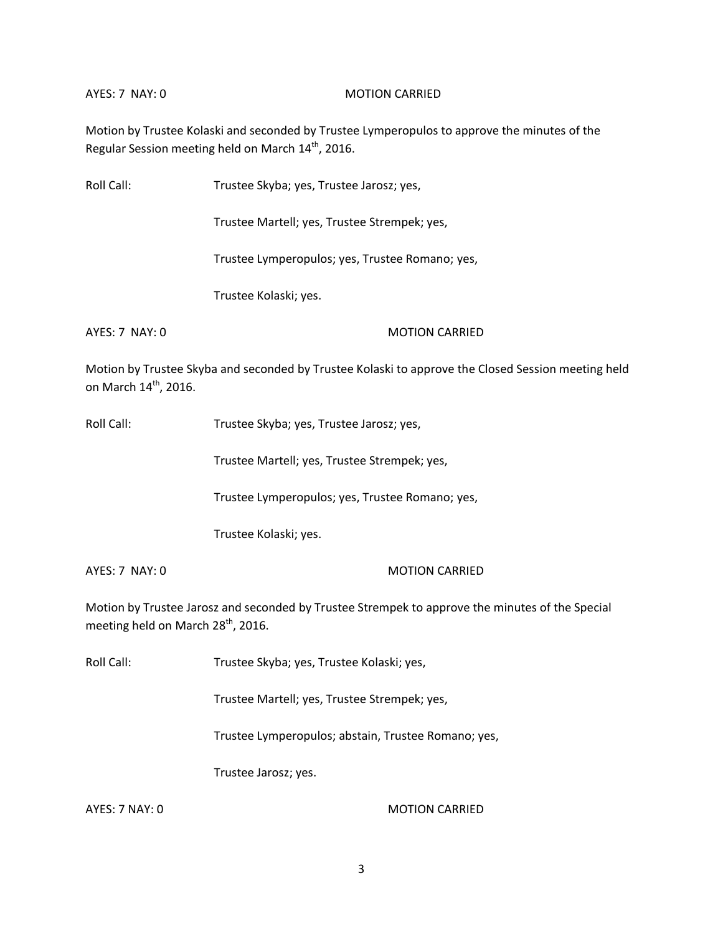## AYES: 7 NAY: 0 MOTION CARRIED

Motion by Trustee Kolaski and seconded by Trustee Lymperopulos to approve the minutes of the Regular Session meeting held on March 14<sup>th</sup>, 2016.

| Roll Call:                        | Trustee Skyba; yes, Trustee Jarosz; yes,                                                           |  |
|-----------------------------------|----------------------------------------------------------------------------------------------------|--|
|                                   | Trustee Martell; yes, Trustee Strempek; yes,                                                       |  |
|                                   | Trustee Lymperopulos; yes, Trustee Romano; yes,                                                    |  |
|                                   | Trustee Kolaski; yes.                                                                              |  |
| AYES: 7 NAY: 0                    | <b>MOTION CARRIED</b>                                                                              |  |
| on March 14 <sup>th</sup> , 2016. | Motion by Trustee Skyba and seconded by Trustee Kolaski to approve the Closed Session meeting held |  |
| Roll Call:                        | Trustee Skyba; yes, Trustee Jarosz; yes,                                                           |  |
|                                   | Trustee Martell; yes, Trustee Strempek; yes,                                                       |  |
|                                   | Trustee Lymperopulos; yes, Trustee Romano; yes,                                                    |  |

Trustee Kolaski; yes.

AYES: 7 NAY: 0 MOTION CARRIED

Motion by Trustee Jarosz and seconded by Trustee Strempek to approve the minutes of the Special meeting held on March 28<sup>th</sup>, 2016.

Roll Call: Trustee Skyba; yes, Trustee Kolaski; yes,

Trustee Martell; yes, Trustee Strempek; yes,

Trustee Lymperopulos; abstain, Trustee Romano; yes,

Trustee Jarosz; yes.

AYES: 7 NAY: 0 MOTION CARRIED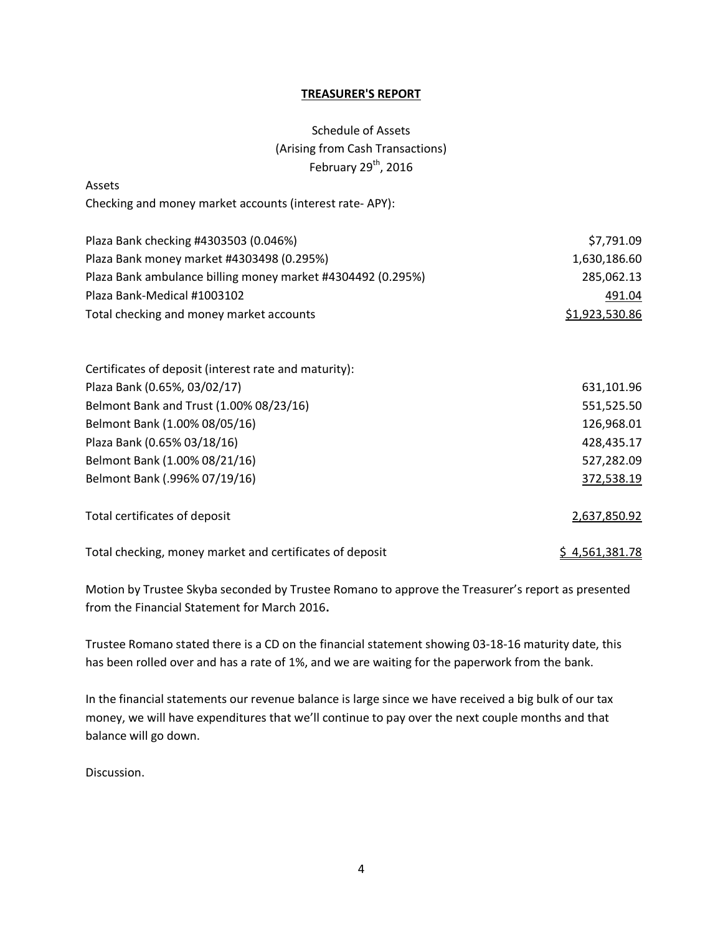# **TREASURER'S REPORT**

# Schedule of Assets (Arising from Cash Transactions) February  $29<sup>th</sup>$ , 2016

| Assets                                                      |                |
|-------------------------------------------------------------|----------------|
| Checking and money market accounts (interest rate-APY):     |                |
| Plaza Bank checking #4303503 (0.046%)                       | \$7,791.09     |
| Plaza Bank money market #4303498 (0.295%)                   | 1,630,186.60   |
| Plaza Bank ambulance billing money market #4304492 (0.295%) | 285,062.13     |
| Plaza Bank-Medical #1003102                                 | 491.04         |
| Total checking and money market accounts                    | \$1,923,530.86 |
| Certificates of deposit (interest rate and maturity):       |                |
| Plaza Bank (0.65%, 03/02/17)                                | 631,101.96     |
| Belmont Bank and Trust (1.00% 08/23/16)                     | 551,525.50     |
| Belmont Bank (1.00% 08/05/16)                               | 126,968.01     |
| Plaza Bank (0.65% 03/18/16)                                 | 428,435.17     |
| Belmont Bank (1.00% 08/21/16)                               | 527,282.09     |
| Belmont Bank (.996% 07/19/16)                               | 372,538.19     |
| Total certificates of deposit                               | 2,637,850.92   |
| Total checking, money market and certificates of deposit    | \$4,561,381.78 |

Motion by Trustee Skyba seconded by Trustee Romano to approve the Treasurer's report as presented from the Financial Statement for March 2016**.** 

Trustee Romano stated there is a CD on the financial statement showing 03-18-16 maturity date, this has been rolled over and has a rate of 1%, and we are waiting for the paperwork from the bank.

In the financial statements our revenue balance is large since we have received a big bulk of our tax money, we will have expenditures that we'll continue to pay over the next couple months and that balance will go down.

Discussion.

Assets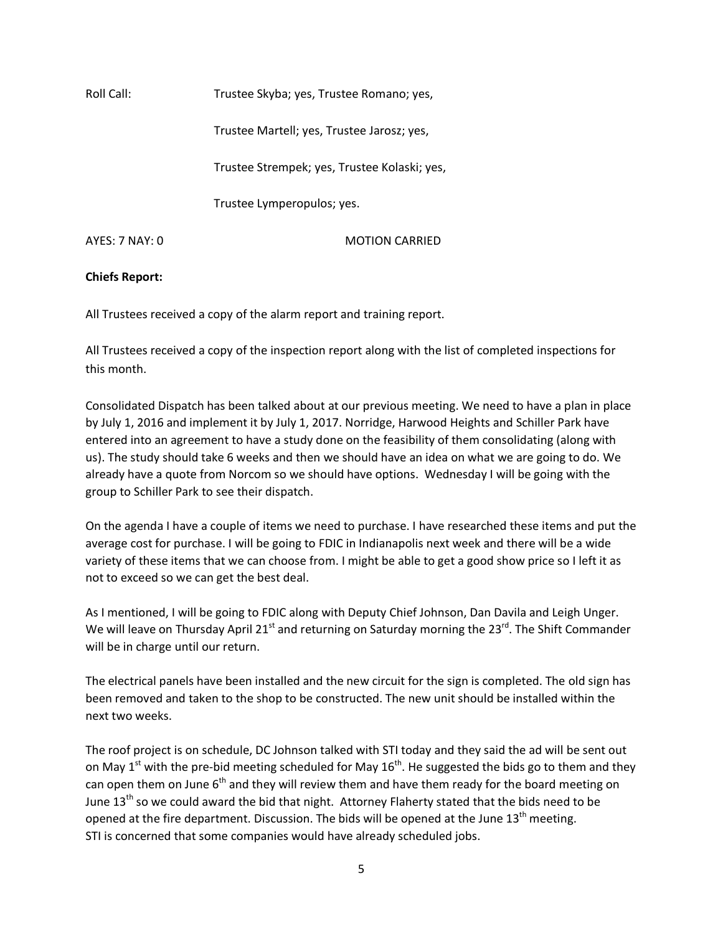Roll Call: Trustee Skyba; yes, Trustee Romano; yes, Trustee Martell; yes, Trustee Jarosz; yes, Trustee Strempek; yes, Trustee Kolaski; yes, Trustee Lymperopulos; yes. AYES: 7 NAY: 0 MOTION CARRIED

# **Chiefs Report:**

All Trustees received a copy of the alarm report and training report.

All Trustees received a copy of the inspection report along with the list of completed inspections for this month.

Consolidated Dispatch has been talked about at our previous meeting. We need to have a plan in place by July 1, 2016 and implement it by July 1, 2017. Norridge, Harwood Heights and Schiller Park have entered into an agreement to have a study done on the feasibility of them consolidating (along with us). The study should take 6 weeks and then we should have an idea on what we are going to do. We already have a quote from Norcom so we should have options. Wednesday I will be going with the group to Schiller Park to see their dispatch.

On the agenda I have a couple of items we need to purchase. I have researched these items and put the average cost for purchase. I will be going to FDIC in Indianapolis next week and there will be a wide variety of these items that we can choose from. I might be able to get a good show price so I left it as not to exceed so we can get the best deal.

As I mentioned, I will be going to FDIC along with Deputy Chief Johnson, Dan Davila and Leigh Unger. We will leave on Thursday April 21<sup>st</sup> and returning on Saturday morning the 23<sup>rd</sup>. The Shift Commander will be in charge until our return.

The electrical panels have been installed and the new circuit for the sign is completed. The old sign has been removed and taken to the shop to be constructed. The new unit should be installed within the next two weeks.

The roof project is on schedule, DC Johnson talked with STI today and they said the ad will be sent out on May  $1<sup>st</sup>$  with the pre-bid meeting scheduled for May  $16<sup>th</sup>$ . He suggested the bids go to them and they can open them on June  $6<sup>th</sup>$  and they will review them and have them ready for the board meeting on June 13<sup>th</sup> so we could award the bid that night. Attorney Flaherty stated that the bids need to be opened at the fire department. Discussion. The bids will be opened at the June  $13<sup>th</sup>$  meeting. STI is concerned that some companies would have already scheduled jobs.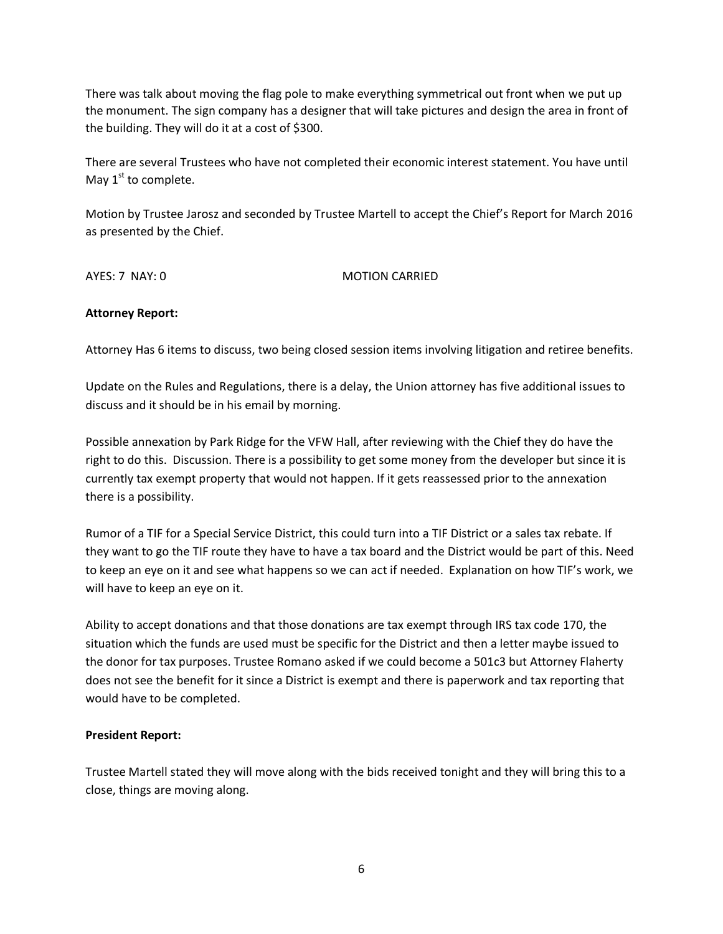There was talk about moving the flag pole to make everything symmetrical out front when we put up the monument. The sign company has a designer that will take pictures and design the area in front of the building. They will do it at a cost of \$300.

There are several Trustees who have not completed their economic interest statement. You have until May  $1<sup>st</sup>$  to complete.

Motion by Trustee Jarosz and seconded by Trustee Martell to accept the Chief's Report for March 2016 as presented by the Chief.

AYES: 7 NAY: 0 MOTION CARRIED

# **Attorney Report:**

Attorney Has 6 items to discuss, two being closed session items involving litigation and retiree benefits.

Update on the Rules and Regulations, there is a delay, the Union attorney has five additional issues to discuss and it should be in his email by morning.

Possible annexation by Park Ridge for the VFW Hall, after reviewing with the Chief they do have the right to do this. Discussion. There is a possibility to get some money from the developer but since it is currently tax exempt property that would not happen. If it gets reassessed prior to the annexation there is a possibility.

Rumor of a TIF for a Special Service District, this could turn into a TIF District or a sales tax rebate. If they want to go the TIF route they have to have a tax board and the District would be part of this. Need to keep an eye on it and see what happens so we can act if needed. Explanation on how TIF's work, we will have to keep an eye on it.

Ability to accept donations and that those donations are tax exempt through IRS tax code 170, the situation which the funds are used must be specific for the District and then a letter maybe issued to the donor for tax purposes. Trustee Romano asked if we could become a 501c3 but Attorney Flaherty does not see the benefit for it since a District is exempt and there is paperwork and tax reporting that would have to be completed.

# **President Report:**

Trustee Martell stated they will move along with the bids received tonight and they will bring this to a close, things are moving along.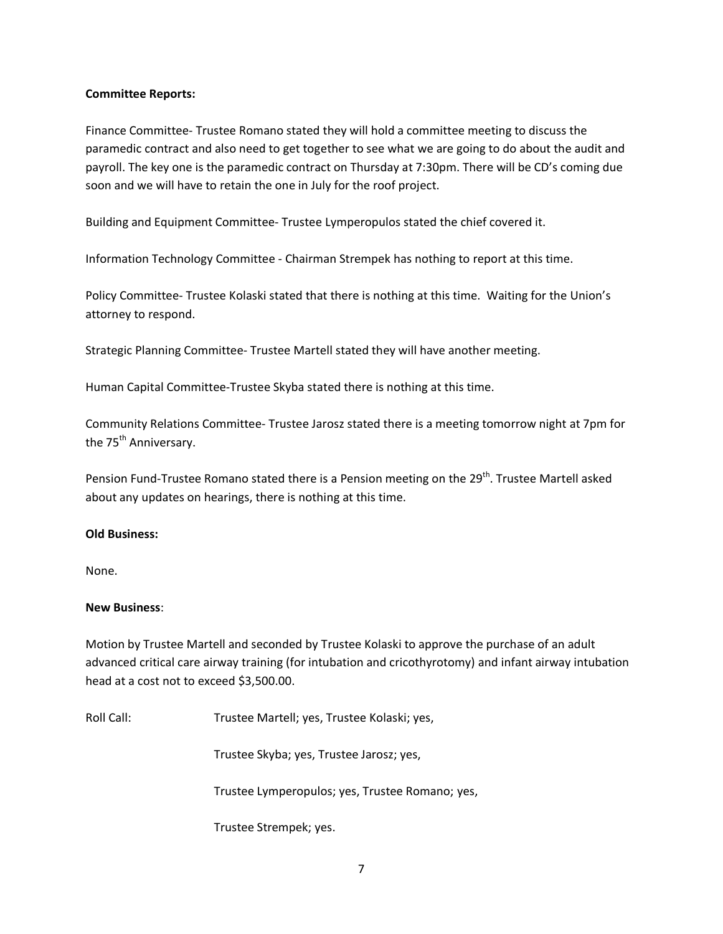# **Committee Reports:**

Finance Committee- Trustee Romano stated they will hold a committee meeting to discuss the paramedic contract and also need to get together to see what we are going to do about the audit and payroll. The key one is the paramedic contract on Thursday at 7:30pm. There will be CD's coming due soon and we will have to retain the one in July for the roof project.

Building and Equipment Committee- Trustee Lymperopulos stated the chief covered it.

Information Technology Committee - Chairman Strempek has nothing to report at this time.

Policy Committee- Trustee Kolaski stated that there is nothing at this time. Waiting for the Union's attorney to respond.

Strategic Planning Committee- Trustee Martell stated they will have another meeting.

Human Capital Committee-Trustee Skyba stated there is nothing at this time.

Community Relations Committee- Trustee Jarosz stated there is a meeting tomorrow night at 7pm for the 75<sup>th</sup> Anniversary.

Pension Fund-Trustee Romano stated there is a Pension meeting on the 29<sup>th</sup>. Trustee Martell asked about any updates on hearings, there is nothing at this time.

# **Old Business:**

None.

## **New Business**:

Motion by Trustee Martell and seconded by Trustee Kolaski to approve the purchase of an adult advanced critical care airway training (for intubation and cricothyrotomy) and infant airway intubation head at a cost not to exceed \$3,500.00.

Roll Call: Trustee Martell; yes, Trustee Kolaski; yes,

Trustee Skyba; yes, Trustee Jarosz; yes,

Trustee Lymperopulos; yes, Trustee Romano; yes,

Trustee Strempek; yes.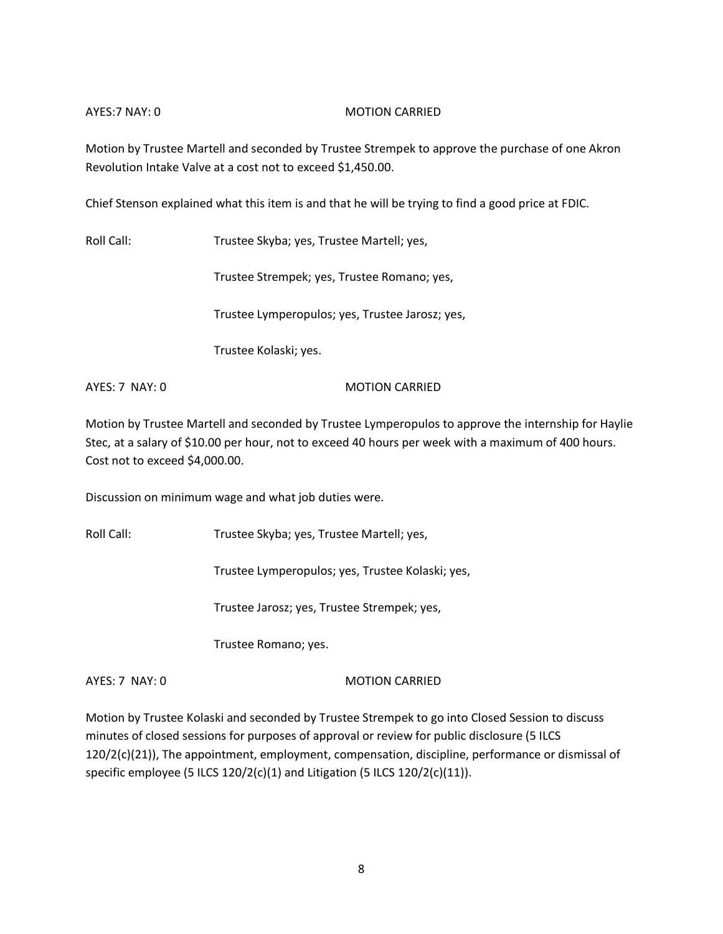# AYES:7 NAY: 0 MOTION CARRIED

Motion by Trustee Martell and seconded by Trustee Strempek to approve the purchase of one Akron Revolution Intake Valve at a cost not to exceed \$1,450.00.

Chief Stenson explained what this item is and that he will be trying to find a good price at FDIC.

Roll Call: Trustee Skyba; yes, Trustee Martell; yes,

Trustee Strempek; yes, Trustee Romano; yes,

Trustee Lymperopulos; yes, Trustee Jarosz; yes,

Trustee Kolaski; yes.

AYES: 7 NAY: 0 MOTION CARRIED

Motion by Trustee Martell and seconded by Trustee Lymperopulos to approve the internship for Haylie Stec, at a salary of \$10.00 per hour, not to exceed 40 hours per week with a maximum of 400 hours. Cost not to exceed \$4,000.00.

Discussion on minimum wage and what job duties were.

Roll Call: Trustee Skyba; yes, Trustee Martell; yes,

Trustee Lymperopulos; yes, Trustee Kolaski; yes,

Trustee Jarosz; yes, Trustee Strempek; yes,

Trustee Romano; yes.

AYES: 7 NAY: 0 MOTION CARRIED

Motion by Trustee Kolaski and seconded by Trustee Strempek to go into Closed Session to discuss minutes of closed sessions for purposes of approval or review for public disclosure (5 ILCS 120/2(c)(21)), The appointment, employment, compensation, discipline, performance or dismissal of specific employee (5 ILCS 120/2(c)(1) and Litigation (5 ILCS 120/2(c)(11)).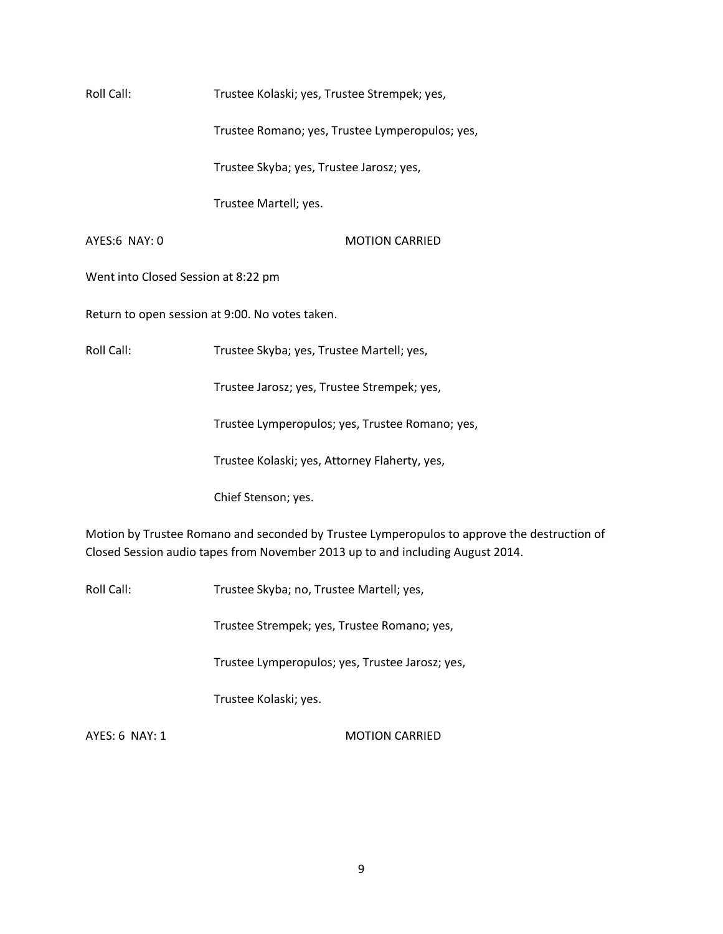Roll Call: Trustee Kolaski; yes, Trustee Strempek; yes,

Trustee Romano; yes, Trustee Lymperopulos; yes,

Trustee Skyba; yes, Trustee Jarosz; yes,

Trustee Martell; yes.

AYES:6 NAY: 0 MOTION CARRIED

Went into Closed Session at 8:22 pm

Return to open session at 9:00. No votes taken.

Roll Call: Trustee Skyba; yes, Trustee Martell; yes,

Trustee Jarosz; yes, Trustee Strempek; yes,

Trustee Lymperopulos; yes, Trustee Romano; yes,

Trustee Kolaski; yes, Attorney Flaherty, yes,

Chief Stenson; yes.

Motion by Trustee Romano and seconded by Trustee Lymperopulos to approve the destruction of Closed Session audio tapes from November 2013 up to and including August 2014.

Roll Call: Trustee Skyba; no, Trustee Martell; yes,

Trustee Strempek; yes, Trustee Romano; yes,

Trustee Lymperopulos; yes, Trustee Jarosz; yes,

Trustee Kolaski; yes.

AYES: 6 NAY: 1 MOTION CARRIED